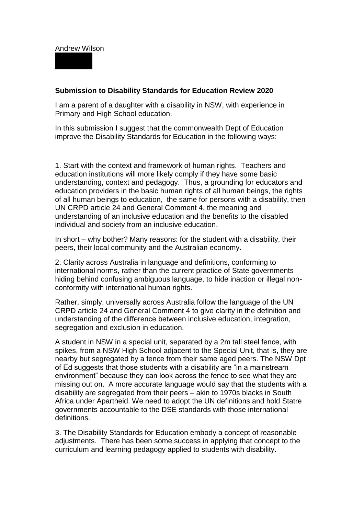## Andrew Wilson

## **Submission to Disability Standards for Education Review 2020**

I am a parent of a daughter with a disability in NSW, with experience in Primary and High School education.

In this submission I suggest that the commonwealth Dept of Education improve the Disability Standards for Education in the following ways:

1. Start with the context and framework of human rights. Teachers and education institutions will more likely comply if they have some basic understanding, context and pedagogy. Thus, a grounding for educators and education providers in the basic human rights of all human beings, the rights of all human beings to education, the same for persons with a disability, then UN CRPD article 24 and General Comment 4, the meaning and understanding of an inclusive education and the benefits to the disabled individual and society from an inclusive education.

In short – why bother? Many reasons: for the student with a disability, their peers, their local community and the Australian economy.

2. Clarity across Australia in language and definitions, conforming to international norms, rather than the current practice of State governments hiding behind confusing ambiguous language, to hide inaction or illegal nonconformity with international human rights.

Rather, simply, universally across Australia follow the language of the UN CRPD article 24 and General Comment 4 to give clarity in the definition and understanding of the difference between inclusive education, integration, segregation and exclusion in education.

A student in NSW in a special unit, separated by a 2m tall steel fence, with spikes, from a NSW High School adjacent to the Special Unit, that is, they are nearby but segregated by a fence from their same aged peers. The NSW Dpt of Ed suggests that those students with a disability are "in a mainstream environment" because they can look across the fence to see what they are missing out on. A more accurate language would say that the students with a disability are segregated from their peers – akin to 1970s blacks in South Africa under Apartheid. We need to adopt the UN definitions and hold Statre governments accountable to the DSE standards with those international definitions.

3. The Disability Standards for Education embody a concept of reasonable adjustments. There has been some success in applying that concept to the curriculum and learning pedagogy applied to students with disability.